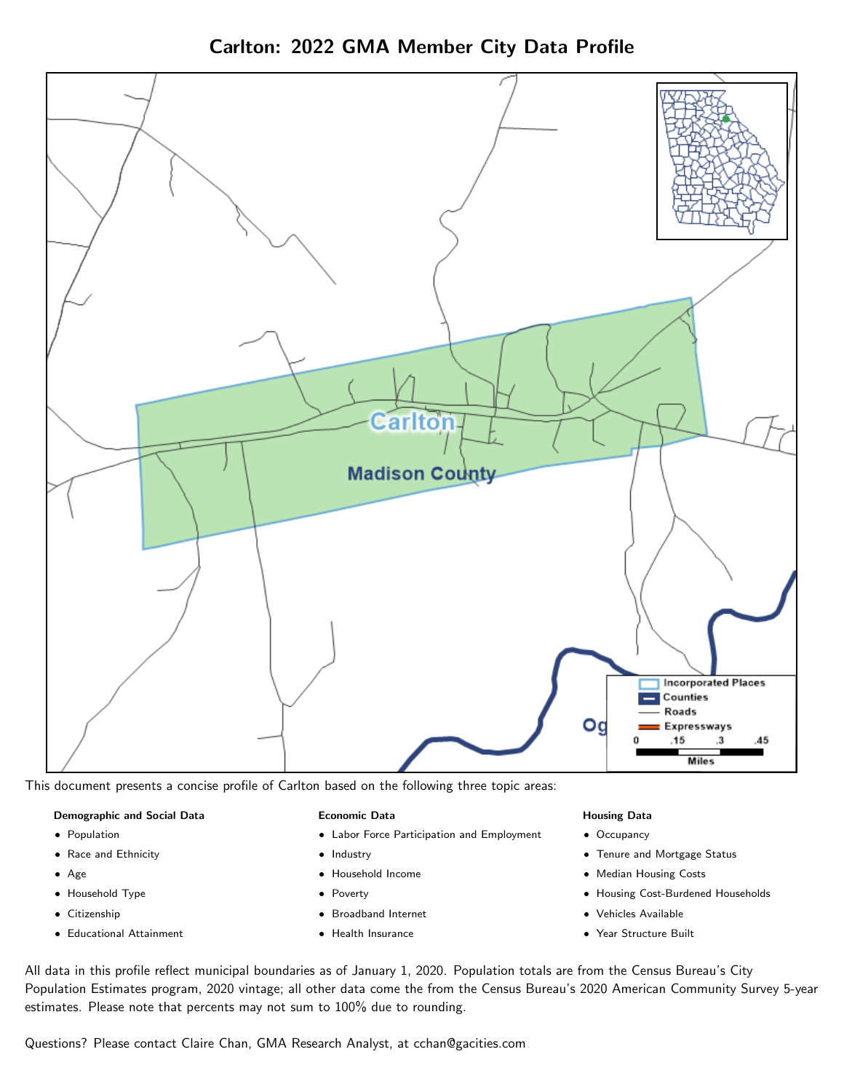Carlton: 2022 GMA Member City Data Profile



This document presents a concise profile of Carlton based on the following three topic areas:

#### Demographic and Social Data

- **•** Population
- Race and Ethnicity
- Age
- Household Type
- **Citizenship**
- Educational Attainment

#### Economic Data

- Labor Force Participation and Employment
- Industry
- Household Income
- Poverty
- Broadband Internet
- Health Insurance

#### Housing Data

- Occupancy
- Tenure and Mortgage Status
- Median Housing Costs
- Housing Cost-Burdened Households
- Vehicles Available
- Year Structure Built

All data in this profile reflect municipal boundaries as of January 1, 2020. Population totals are from the Census Bureau's City Population Estimates program, 2020 vintage; all other data come the from the Census Bureau's 2020 American Community Survey 5-year estimates. Please note that percents may not sum to 100% due to rounding.

Questions? Please contact Claire Chan, GMA Research Analyst, at [cchan@gacities.com.](mailto:cchan@gacities.com)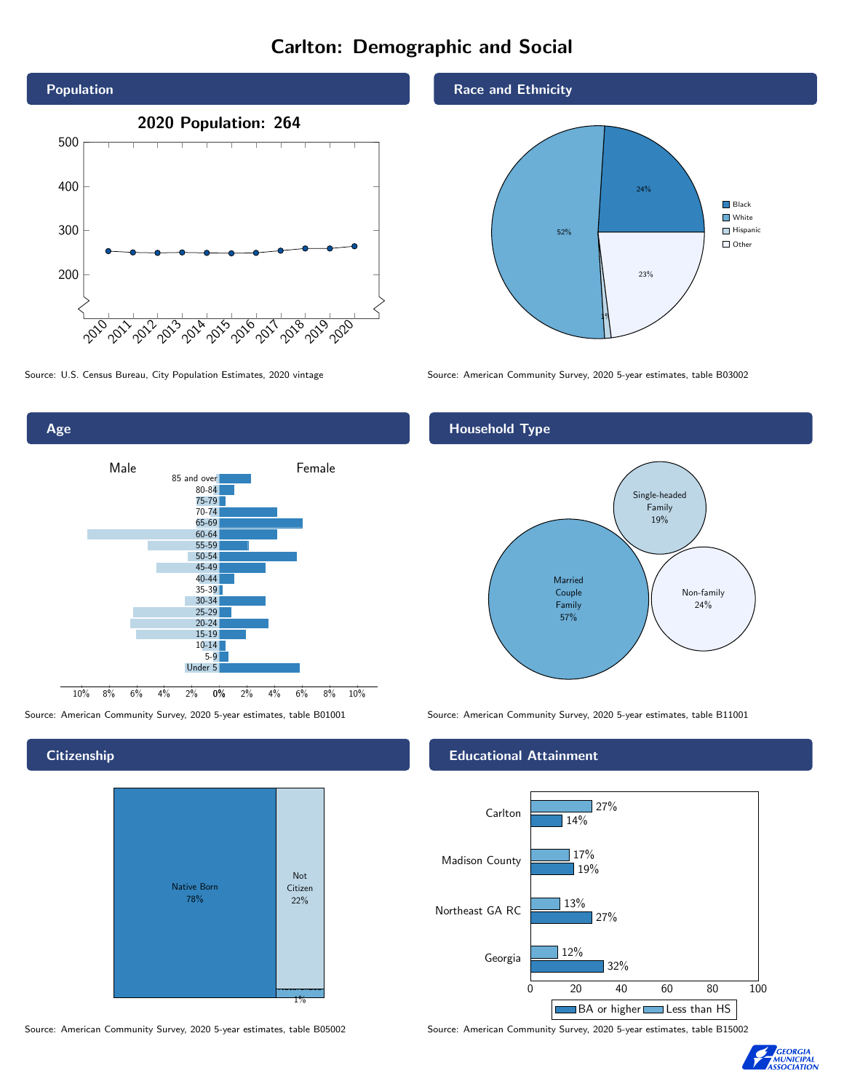# Carlton: Demographic and Social





**Citizenship** 



Source: American Community Survey, 2020 5-year estimates, table B05002 Source: American Community Survey, 2020 5-year estimates, table B15002

Race and Ethnicity



Source: U.S. Census Bureau, City Population Estimates, 2020 vintage Source: American Community Survey, 2020 5-year estimates, table B03002

## Household Type



Source: American Community Survey, 2020 5-year estimates, table B01001 Source: American Community Survey, 2020 5-year estimates, table B11001

#### Educational Attainment



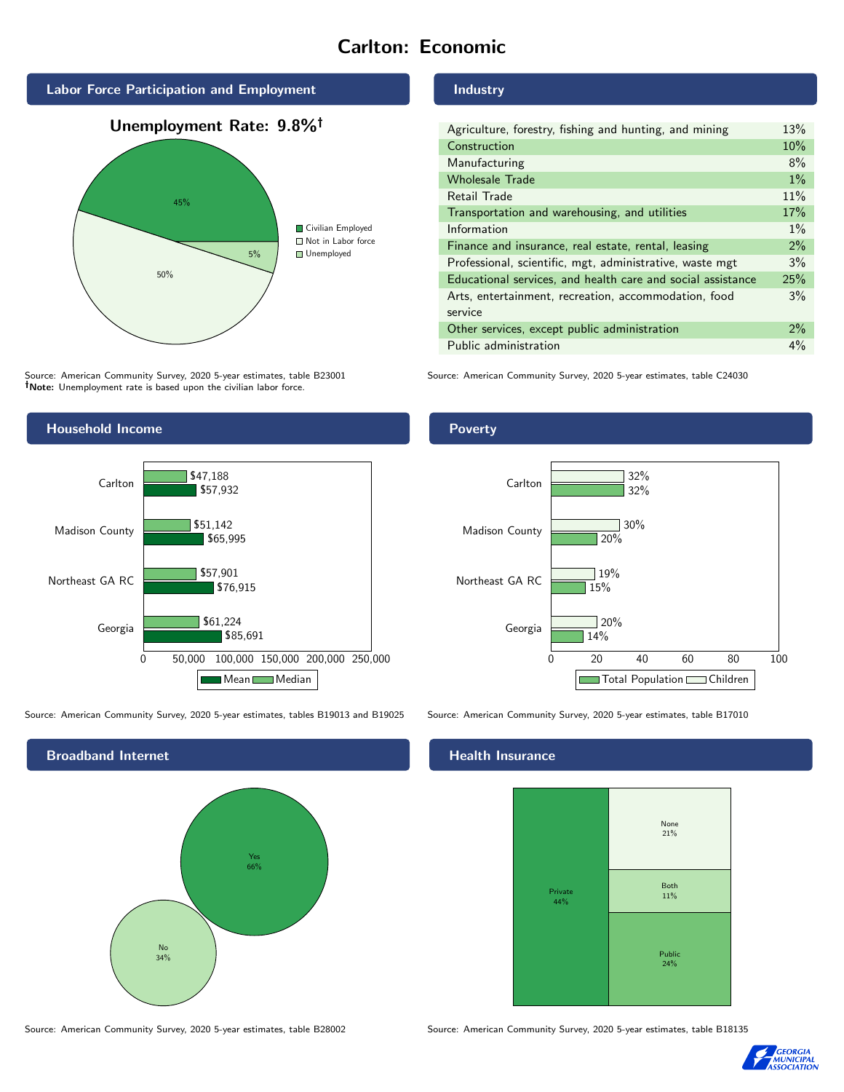# Carlton: Economic



Source: American Community Survey, 2020 5-year estimates, table B23001 Note: Unemployment rate is based upon the civilian labor force.

## Industry

| Agriculture, forestry, fishing and hunting, and mining      | 13%   |
|-------------------------------------------------------------|-------|
| Construction                                                | 10%   |
| Manufacturing                                               | 8%    |
| <b>Wholesale Trade</b>                                      | $1\%$ |
| Retail Trade                                                | 11%   |
| Transportation and warehousing, and utilities               | 17%   |
| Information                                                 | $1\%$ |
| Finance and insurance, real estate, rental, leasing         | 2%    |
| Professional, scientific, mgt, administrative, waste mgt    | 3%    |
| Educational services, and health care and social assistance | 25%   |
| Arts, entertainment, recreation, accommodation, food        | 3%    |
| service                                                     |       |
| Other services, except public administration                | 2%    |
| Public administration                                       | $4\%$ |

Source: American Community Survey, 2020 5-year estimates, table C24030



Source: American Community Survey, 2020 5-year estimates, tables B19013 and B19025 Source: American Community Survey, 2020 5-year estimates, table B17010



### Poverty



#### Health Insurance



Source: American Community Survey, 2020 5-year estimates, table B28002 Source: American Community Survey, 2020 5-year estimates, table B18135